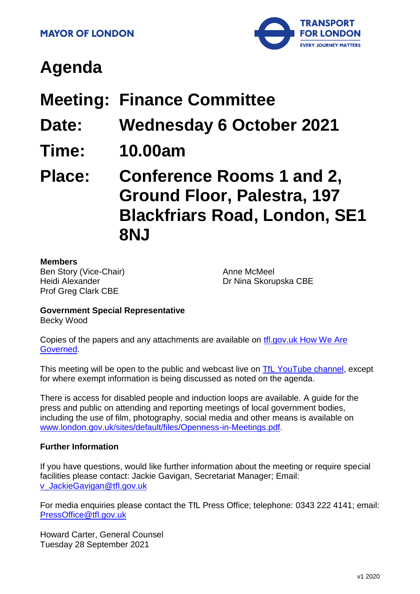

# **Agenda**

# **Meeting: Finance Committee**

- **Date: Wednesday 6 October 2021**
- **Time: 10.00am**

# **Place: Conference Rooms 1 and 2, Ground Floor, Palestra, 197 Blackfriars Road, London, SE1 8NJ**

#### **Members**

Ben Story (Vice-Chair) Heidi Alexander Prof Greg Clark CBE

Anne McMeel Dr Nina Skorupska CBE

# **Government Special Representative**

Becky Wood

Copies of the papers and any attachments are available on [tfl.gov.uk How We Are](http://www.tfl.gov.uk/corporate/about-tfl/how-we-work/how-we-are-governed)  [Governed.](http://www.tfl.gov.uk/corporate/about-tfl/how-we-work/how-we-are-governed)

This meeting will be open to the public and webcast live on [TfL YouTube channel,](https://www.youtube.com/watch?v=_2U9viPQ9WE&list=PLtnlusA0Zoggk4qvN68OcnD9k_7B8cY_d) except for where exempt information is being discussed as noted on the agenda.

There is access for disabled people and induction loops are available. A guide for the press and public on attending and reporting meetings of local government bodies, including the use of film, photography, social media and other means is available on [www.london.gov.uk/sites/default/files/Openness-in-Meetings.pdf.](http://www.london.gov.uk/sites/default/files/Openness-in-Meetings.pdf)

#### **Further Information**

If you have questions, would like further information about the meeting or require special facilities please contact: Jackie Gavigan, Secretariat Manager; Email: [v\\_JackieGavigan@tfl.gov.uk](mailto:v_JackieGavigan@tfl.gov.uk)

For media enquiries please contact the TfL Press Office; telephone: 0343 222 4141; email: [PressOffice@tfl.gov.uk](mailto:PressOffice@tfl.gov.uk)

Howard Carter, General Counsel Tuesday 28 September 2021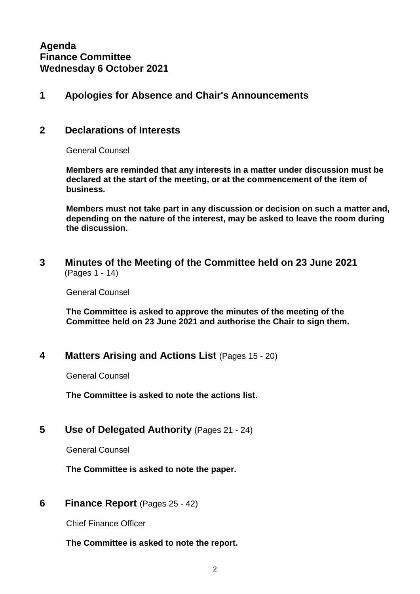**Agenda Finance Committee Wednesday 6 October 2021**

#### **1 Apologies for Absence and Chair's Announcements**

#### **2 Declarations of Interests**

General Counsel

**Members are reminded that any interests in a matter under discussion must be declared at the start of the meeting, or at the commencement of the item of business.**

**Members must not take part in any discussion or decision on such a matter and, depending on the nature of the interest, may be asked to leave the room during the discussion.**

**3 Minutes of the Meeting of the Committee held on 23 June 2021** (Pages 1 - 14)

General Counsel

**The Committee is asked to approve the minutes of the meeting of the Committee held on 23 June 2021 and authorise the Chair to sign them.**

#### **4 Matters Arising and Actions List** (Pages 15 - 20)

General Counsel

**The Committee is asked to note the actions list.**

**5 Use of Delegated Authority** (Pages 21 - 24)

General Counsel

**The Committee is asked to note the paper.**

**6 Finance Report** (Pages 25 - 42)

Chief Finance Officer

**The Committee is asked to note the report.**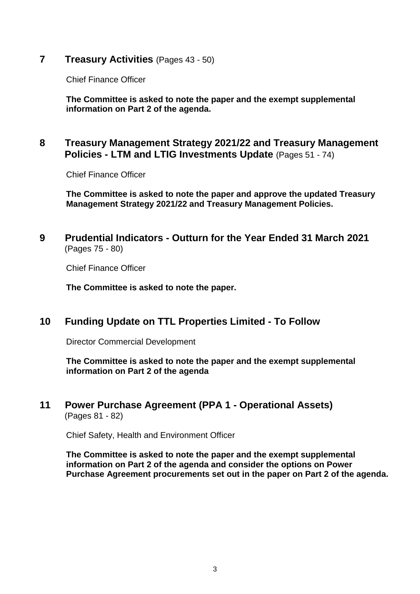**7 Treasury Activities** (Pages 43 - 50)

Chief Finance Officer

**The Committee is asked to note the paper and the exempt supplemental information on Part 2 of the agenda.**

## **8 Treasury Management Strategy 2021/22 and Treasury Management Policies - LTM and LTIG Investments Update** (Pages 51 - 74)

Chief Finance Officer

**The Committee is asked to note the paper and approve the updated Treasury Management Strategy 2021/22 and Treasury Management Policies.**

#### **9 Prudential Indicators - Outturn for the Year Ended 31 March 2021** (Pages 75 - 80)

Chief Finance Officer

**The Committee is asked to note the paper.**

## **10 Funding Update on TTL Properties Limited - To Follow**

Director Commercial Development

**The Committee is asked to note the paper and the exempt supplemental information on Part 2 of the agenda**

#### **11 Power Purchase Agreement (PPA 1 - Operational Assets)** (Pages 81 - 82)

Chief Safety, Health and Environment Officer

**The Committee is asked to note the paper and the exempt supplemental information on Part 2 of the agenda and consider the options on Power Purchase Agreement procurements set out in the paper on Part 2 of the agenda.**